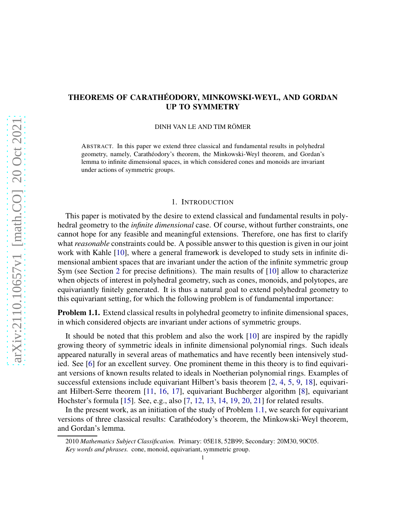# THEOREMS OF CARATHÉODORY, MINKOWSKI-WEYL, AND GORDAN UP TO SYMMETRY

DINH VAN LE AND TIM RÖMER

ABSTRACT. In this paper we extend three classical and fundamental results in polyhedral geometry, namely, Carathéodory's theorem, the Minkowski-Weyl theorem, and Gordan's lemma to infinite dimensional spaces, in which considered cones and monoids are invariant under actions of symmetric groups.

#### 1. INTRODUCTION

This paper is motivated by the desire to extend classical and fundamental results in polyhedral geometry to the *infinite dimensional* case. Of course, without further constraints, one cannot hope for any feasible and meaningful extensions. Therefore, one has first to clarify what *reasonable* constraints could be. A possible answer to this question is given in our joint work with Kahle [\[10\]](#page-18-0), where a general framework is developed to study sets in infinite dimensional ambient spaces that are invariant under the action of the infinite symmetric group Sym (see Section [2](#page-2-0) for precise definitions). The main results of [\[10\]](#page-18-0) allow to characterize when objects of interest in polyhedral geometry, such as cones, monoids, and polytopes, are equivariantly finitely generated. It is thus a natural goal to extend polyhedral geometry to this equivariant setting, for which the following problem is of fundamental importance:

<span id="page-0-0"></span>Problem 1.1. Extend classical results in polyhedral geometry to infinite dimensional spaces, in which considered objects are invariant under actions of symmetric groups.

It should be noted that this problem and also the work [\[10\]](#page-18-0) are inspired by the rapidly growing theory of symmetric ideals in infinite dimensional polynomial rings. Such ideals appeared naturally in several areas of mathematics and have recently been intensively studied. See [\[6\]](#page-18-1) for an excellent survey. One prominent theme in this theory is to find equivariant versions of known results related to ideals in Noetherian polynomial rings. Examples of successful extensions include equivariant Hilbert's basis theorem  $[2, 4, 5, 9, 18]$  $[2, 4, 5, 9, 18]$  $[2, 4, 5, 9, 18]$  $[2, 4, 5, 9, 18]$  $[2, 4, 5, 9, 18]$  $[2, 4, 5, 9, 18]$  $[2, 4, 5, 9, 18]$  $[2, 4, 5, 9, 18]$ , equivariant Hilbert-Serre theorem [\[11,](#page-18-7) [16,](#page-18-8) [17\]](#page-18-9), equivariant Buchberger algorithm [\[8\]](#page-18-10), equivariant Hochster's formula [\[15\]](#page-18-11). See, e.g., also [\[7,](#page-18-12) [12,](#page-18-13) [13,](#page-18-14) [14,](#page-18-15) [19,](#page-18-16) [20,](#page-18-17) [21\]](#page-18-18) for related results.

In the present work, as an initiation of the study of Problem [1.1,](#page-0-0) we search for equivariant versions of three classical results: Carath´eodory's theorem, the Minkowski-Weyl theorem, and Gordan's lemma.

<sup>2010</sup> *Mathematics Subject Classification.* Primary: 05E18, 52B99; Secondary: 20M30, 90C05. *Key words and phrases.* cone, monoid, equivariant, symmetric group.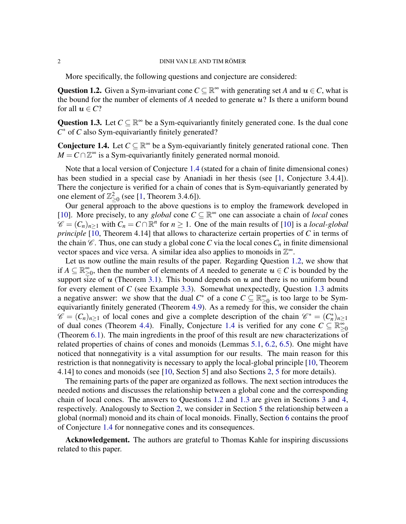More specifically, the following questions and conjecture are considered:

<span id="page-1-1"></span>Question 1.2. Given a Sym-invariant cone  $C \subseteq \mathbb{R}^{\infty}$  with generating set *A* and  $u \in C$ , what is the bound for the number of elements of  $A$  needed to generate  $u$ ? Is there a uniform bound for all  $u \in \mathbb{C}$ ?

<span id="page-1-2"></span>Question 1.3. Let  $C \subseteq \mathbb{R}^{\infty}$  be a Sym-equivariantly finitely generated cone. Is the dual cone *C* <sup>∗</sup> of *C* also Sym-equivariantly finitely generated?

<span id="page-1-0"></span>**Conjecture 1.4.** Let  $C \subseteq \mathbb{R}^{\infty}$  be a Sym-equivariantly finitely generated rational cone. Then  $M = C \cap \mathbb{Z}^{\infty}$  is a Sym-equivariantly finitely generated normal monoid.

Note that a local version of Conjecture [1.4](#page-1-0) (stated for a chain of finite dimensional cones) has been studied in a special case by Ananiadi in her thesis (see [\[1,](#page-18-19) Conjecture 3.4.4]). There the conjecture is verified for a chain of cones that is Sym-equivariantly generated by one element of  $\mathbb{Z}_{\geq 0}^2$  (see [\[1,](#page-18-19) Theorem 3.4.6]).

Our general approach to the above questions is to employ the framework developed in [\[10\]](#page-18-0). More precisely, to any *global* cone  $C \subseteq \mathbb{R}^{\infty}$  one can associate a chain of *local* cones  $\mathscr{C} = (C_n)_{n \geq 1}$  with  $C_n = C \cap \mathbb{R}^n$  for  $n \geq 1$ . One of the main results of [\[10\]](#page-18-0) is a *local-global principle* [\[10,](#page-18-0) Theorem 4.14] that allows to characterize certain properties of *C* in terms of the chain  $\mathcal C$ . Thus, one can study a global cone *C* via the local cones  $C_n$  in finite dimensional vector spaces and vice versa. A similar idea also applies to monoids in  $\mathbb{Z}^{\infty}$ .

Let us now outline the main results of the paper. Regarding Question [1.2,](#page-1-1) we show that if  $A \subseteq \mathbb{R}^{\infty}_{>$  $\sum_{n=0}^{\infty}$ , then the number of elements of *A* needed to generate  $u \in C$  is bounded by the support size of  $u$  (Theorem [3.1\)](#page-5-0). This bound depends on  $u$  and there is no uniform bound for every element of *C* (see Example [3.3\)](#page-6-0). Somewhat unexpectedly, Question [1.3](#page-1-2) admits a negative answer: we show that the dual  $C^*$  of a cone  $C \subseteq \mathbb{R}^\infty$  $\sum_{n=0}^{\infty}$  is too large to be Symequivariantly finitely generated (Theorem [4.9\)](#page-10-0). As a remedy for this, we consider the chain  $\mathscr{C} = (C_n)_{n \geq 1}$  of local cones and give a complete description of the chain  $\mathscr{C}^* = (C_n^*)_{n \geq 1}$ of dual cones (Theorem [4.4\)](#page-7-0). Finally, Conjecture [1.4](#page-1-0) is verified for any cone  $C \subseteq \mathbb{R}^{\infty}$ ≥0 (Theorem [6.1\)](#page-14-0). The main ingredients in the proof of this result are new characterizations of related properties of chains of cones and monoids (Lemmas [5.1,](#page-11-0) [6.2,](#page-14-1) [6.5\)](#page-15-0). One might have noticed that nonnegativity is a vital assumption for our results. The main reason for this restriction is that nonnegativity is necessary to apply the local-global principle [\[10,](#page-18-0) Theorem 4.14] to cones and monoids (see [\[10,](#page-18-0) Section 5] and also Sections [2,](#page-2-0) [5](#page-11-1) for more details).

The remaining parts of the paper are organized as follows. The next section introduces the needed notions and discusses the relationship between a global cone and the corresponding chain of local cones. The answers to Questions [1.2](#page-1-1) and [1.3](#page-1-2) are given in Sections [3](#page-5-1) and [4,](#page-6-1) respectively. Analogously to Section [2,](#page-2-0) we consider in Section [5](#page-11-1) the relationship between a global (normal) monoid and its chain of local monoids. Finally, Section [6](#page-14-2) contains the proof of Conjecture [1.4](#page-1-0) for nonnegative cones and its consequences.

Acknowledgement. The authors are grateful to Thomas Kahle for inspiring discussions related to this paper.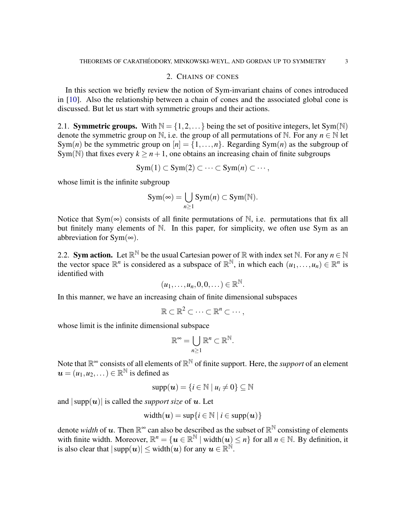## 2. CHAINS OF CONES

<span id="page-2-0"></span>In this section we briefly review the notion of Sym-invariant chains of cones introduced in [\[10\]](#page-18-0). Also the relationship between a chain of cones and the associated global cone is discussed. But let us start with symmetric groups and their actions.

2.1. **Symmetric groups.** With  $\mathbb{N} = \{1, 2, ...\}$  being the set of positive integers, let Sym(N) denote the symmetric group on N, i.e. the group of all permutations of N. For any  $n \in \mathbb{N}$  let Sym(*n*) be the symmetric group on  $[n] = \{1, \ldots, n\}$ . Regarding Sym(*n*) as the subgroup of Sym(N) that fixes every  $k > n+1$ , one obtains an increasing chain of finite subgroups

$$
Sym(1) \subset Sym(2) \subset \cdots \subset Sym(n) \subset \cdots,
$$

whose limit is the infinite subgroup

$$
Sym(\infty) = \bigcup_{n \geq 1} Sym(n) \subset Sym(\mathbb{N}).
$$

Notice that Sym( $\infty$ ) consists of all finite permutations of N, i.e. permutations that fix all but finitely many elements of N. In this paper, for simplicity, we often use Sym as an abbreviation for Sym( $\infty$ ).

2.2. **Sym action.** Let  $\mathbb{R}^N$  be the usual Cartesian power of  $\mathbb{R}$  with index set  $\mathbb{N}$ . For any  $n \in \mathbb{N}$ the vector space  $\mathbb{R}^n$  is considered as a subspace of  $\mathbb{R}^{\mathbb{N}}$ , in which each  $(u_1,...,u_n) \in \mathbb{R}^n$  is identified with

$$
(u_1,\ldots,u_n,0,0,\ldots)\in\mathbb{R}^{\mathbb{N}}
$$

.

In this manner, we have an increasing chain of finite dimensional subspaces

$$
\mathbb{R} \subset \mathbb{R}^2 \subset \cdots \subset \mathbb{R}^n \subset \cdots,
$$

whose limit is the infinite dimensional subspace

$$
\mathbb{R}^{\infty} = \bigcup_{n \geq 1} \mathbb{R}^n \subset \mathbb{R}^{\mathbb{N}}.
$$

Note that  $\mathbb{R}^{\infty}$  consists of all elements of  $\mathbb{R}^{\mathbb{N}}$  of finite support. Here, the *support* of an element  $\boldsymbol{u} = (u_1, u_2, \dots) \in \mathbb{R}^{\mathbb{N}}$  is defined as

$$
\mathrm{supp}(\boldsymbol{u}) = \{i \in \mathbb{N} \mid u_i \neq 0\} \subseteq \mathbb{N}
$$

and  $|\text{supp}(u)|$  is called the *support size* of u. Let

$$
width(\boldsymbol{u}) = sup\{i \in \mathbb{N} \mid i \in supp(\boldsymbol{u})\}
$$

denote *width* of **u**. Then  $\mathbb{R}^{\infty}$  can also be described as the subset of  $\mathbb{R}^{\mathbb{N}}$  consisting of elements with finite width. Moreover,  $\mathbb{R}^n = \{u \in \mathbb{R}^{\mathbb{N}} \mid \text{width}(u) \leq n\}$  for all  $n \in \mathbb{N}$ . By definition, it is also clear that  $|\text{supp}(u)| \le \text{width}(u)$  for any  $u \in \mathbb{R}^{\mathbb{N}}$ .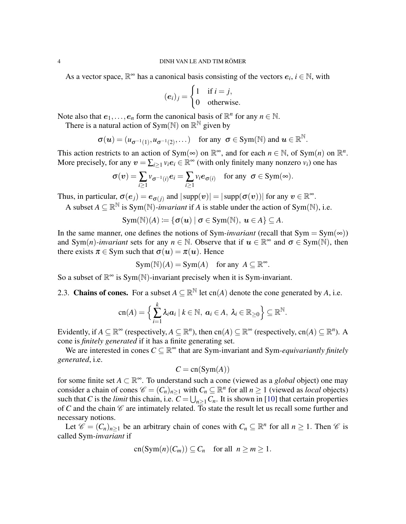As a vector space,  $\mathbb{R}^{\infty}$  has a canonical basis consisting of the vectors  $e_i$ ,  $i \in \mathbb{N}$ , with

$$
(e_i)_j = \begin{cases} 1 & \text{if } i = j, \\ 0 & \text{otherwise.} \end{cases}
$$

Note also that  $e_1, \ldots, e_n$  form the canonical basis of  $\mathbb{R}^n$  for any  $n \in \mathbb{N}$ .

There is a natural action of Sym( $\mathbb{N}$ ) on  $\mathbb{R}^{\mathbb{N}}$  given by

$$
\sigma(\boldsymbol{u})=(u_{\sigma^{-1}(1)},u_{\sigma^{-1}(2)},\dots) \text{ for any } \sigma \in \text{Sym}(\mathbb{N}) \text{ and } \boldsymbol{u} \in \mathbb{R}^{\mathbb{N}}.
$$

This action restricts to an action of Sym( $\infty$ ) on  $\mathbb{R}^{\infty}$ , and for each  $n \in \mathbb{N}$ , of Sym(n) on  $\mathbb{R}^{n}$ . More precisely, for any  $v = \sum_{i \geq 1} v_i e_i \in \mathbb{R}^{\infty}$  (with only finitely many nonzero  $v_i$ ) one has

$$
\sigma(v) = \sum_{i \geq 1} v_{\sigma^{-1}(i)} e_i = \sum_{i \geq 1} v_i e_{\sigma(i)} \text{ for any } \sigma \in \text{Sym}(\infty).
$$

Thus, in particular,  $\sigma(e_j) = e_{\sigma(j)}$  and  $|\text{supp}(v)| = |\text{supp}(\sigma(v))|$  for any  $v \in \mathbb{R}^{\infty}$ .

A subset  $A \subseteq \mathbb{R}^{\mathbb{N}}$  is Sym(N)-*invariant* if A is stable under the action of Sym(N), i.e.

$$
Sym(N)(A) \coloneqq \{ \sigma(\boldsymbol{u}) \mid \sigma \in Sym(N), \, \boldsymbol{u} \in A \} \subseteq A.
$$

In the same manner, one defines the notions of Sym-*invariant* (recall that  $Sym = Sym(\infty)$ ) and Sym(*n*)*-invariant* sets for any  $n \in \mathbb{N}$ . Observe that if  $u \in \mathbb{R}^{\infty}$  and  $\sigma \in \text{Sym}(\mathbb{N})$ , then there exists  $\pi \in \text{Sym}$  such that  $\sigma(u) = \pi(u)$ . Hence

$$
Sym(N)(A) = Sym(A) \quad \text{for any } A \subseteq \mathbb{R}^{\infty}.
$$

So a subset of  $\mathbb{R}^{\infty}$  is Sym(N)-invariant precisely when it is Sym-invariant.

2.3. Chains of cones. For a subset  $A \subseteq \mathbb{R}^{\mathbb{N}}$  let cn(*A*) denote the cone generated by *A*, i.e.

$$
\operatorname{cn}(A) = \Big\{ \sum_{i=1}^k \lambda_i \boldsymbol{a}_i \mid k \in \mathbb{N}, \ \boldsymbol{a}_i \in A, \ \lambda_i \in \mathbb{R}_{\geq 0} \Big\} \subseteq \mathbb{R}^{\mathbb{N}}.
$$

Evidently, if  $A \subseteq \mathbb{R}^{\infty}$  (respectively,  $A \subseteq \mathbb{R}^{n}$ ), then cn( $A \subseteq \mathbb{R}^{\infty}$  (respectively, cn( $A \subseteq \mathbb{R}^{n}$ ). A cone is *finitely generated* if it has a finite generating set.

We are interested in cones  $C \subseteq \mathbb{R}^{\infty}$  that are Sym-invariant and Sym-*equivariantly finitely generated*, i.e.

$$
C = \operatorname{cn}(\operatorname{Sym}(A))
$$

for some finite set *A* ⊂ R <sup>∞</sup>. To understand such a cone (viewed as a *global* object) one may consider a chain of cones  $\mathcal{C} = (C_n)_{n \geq 1}$  with  $C_n \subseteq \mathbb{R}^n$  for all  $n \geq 1$  (viewed as *local* objects) such that *C* is the *limit* this chain, i.e.  $C = \bigcup_{n \geq 1} C_n$ . It is shown in [\[10\]](#page-18-0) that certain properties of  $C$  and the chain  $C$  are intimately related. To state the result let us recall some further and necessary notions.

Let  $\mathscr{C} = (C_n)_{n \geq 1}$  be an arbitrary chain of cones with  $C_n \subseteq \mathbb{R}^n$  for all  $n \geq 1$ . Then  $\mathscr{C}$  is called Sym*-invariant* if

$$
cn(Sym(n)(C_m)) \subseteq C_n \quad \text{for all} \ \ n \ge m \ge 1.
$$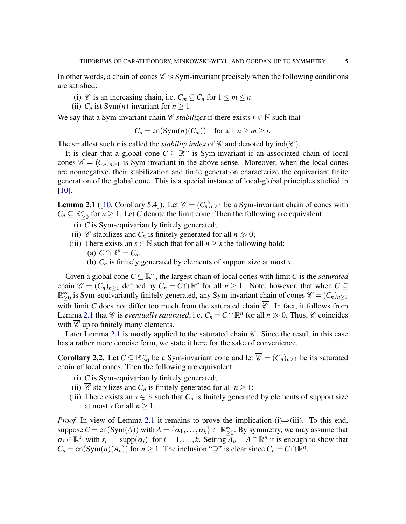In other words, a chain of cones  $\mathscr C$  is Sym-invariant precisely when the following conditions are satisfied:

- (i) *C* is an increasing chain, i.e.  $C_m \subseteq C_n$  for  $1 \le m \le n$ .
- (ii)  $C_n$  ist Sym(*n*)-invariant for  $n \geq 1$ .

We say that a Sym-invariant chain *C stabilizes* if there exists  $r \in \mathbb{N}$  such that

$$
C_n = \operatorname{cn}(\operatorname{Sym}(n)(C_m)) \quad \text{for all} \ \ n \ge m \ge r.
$$

The smallest such *r* is called the *stability index* of  $\mathscr C$  and denoted by  $ind(\mathscr C)$ .

It is clear that a global cone  $C \subseteq \mathbb{R}^{\infty}$  is Sym-invariant if an associated chain of local cones  $\mathscr{C} = (C_n)_{n>1}$  is Sym-invariant in the above sense. Moreover, when the local cones are nonnegative, their stabilization and finite generation characterize the equivariant finite generation of the global cone. This is a special instance of local-global principles studied in [\[10\]](#page-18-0).

<span id="page-4-0"></span>**Lemma 2.1** ([\[10,](#page-18-0) Corollary 5.4]). Let  $\mathcal{C} = (C_n)_{n>1}$  be a Sym-invariant chain of cones with  $C_n \subseteq \mathbb{R}_{\geq 0}^n$  for  $n \geq 1$ . Let *C* denote the limit cone. Then the following are equivalent:

- (i) *C* is Sym-equivariantly finitely generated;
- (ii)  $\mathscr C$  stabilizes and  $C_n$  is finitely generated for all  $n \gg 0$ ;
- (iii) There exists an  $s \in \mathbb{N}$  such that for all  $n \geq s$  the following hold:
	- $(C \cap \mathbb{R}^n = C_n,$
	- (b) *C<sup>n</sup>* is finitely generated by elements of support size at most *s*.

Given a global cone  $C \subseteq \mathbb{R}^{\infty}$ , the largest chain of local cones with limit *C* is the *saturated* chain  $\overline{\mathscr{C}} = (\overline{C}_n)_{n \geq 1}$  defined by  $\overline{C}_n = C \cap \mathbb{R}^n$  for all  $n \geq 1$ . Note, however, that when  $C \subseteq$  $\mathbb{R}_{>}^{\infty}$  $\sum_{n=0}^{\infty}$  is Sym-equivariantly finitely generated, any Sym-invariant chain of cones  $\mathscr{C} = (C_n)_{n \geq 1}$ with limit *C* does not differ too much from the saturated chain  $\overline{\mathscr{C}}$ . In fact, it follows from Lemma [2.1](#page-4-0) that *C* is *eventually saturated*, i.e.  $C_n = C \cap \mathbb{R}^n$  for all  $n \gg 0$ . Thus, *C* coincides with  $\overline{\mathscr{C}}$  up to finitely many elements.

Later Lemma [2.1](#page-4-0) is mostly applied to the saturated chain  $\overline{\mathscr{C}}$ . Since the result in this case has a rather more concise form, we state it here for the sake of convenience.

<span id="page-4-1"></span>**Corollary 2.2.** Let  $C \subseteq \mathbb{R}_{>0}^{\infty}$  $\sum_{n=0}^{\infty}$  be a Sym-invariant cone and let  $\overline{\mathscr{C}} = (\overline{C}_n)_{n \geq 1}$  be its saturated chain of local cones. Then the following are equivalent:

- (i) *C* is Sym-equivariantly finitely generated;
- (ii)  $\overline{\mathscr{C}}$  stabilizes and  $\overline{C}_n$  is finitely generated for all  $n \geq 1$ ;
- (iii) There exists an  $s \in \mathbb{N}$  such that  $\overline{C}_n$  is finitely generated by elements of support size at most *s* for all  $n \geq 1$ .

*Proof.* In view of Lemma [2.1](#page-4-0) it remains to prove the implication (i) $\Rightarrow$ (iii). To this end, suppose  $C = \text{cn}(\text{Sym}(A))$  with  $A = \{a_1, \ldots, a_k\} \subset \mathbb{R}^{\infty}$  $\sum_{i=0}^{\infty}$ . By symmetry, we may assume that  $a_i \in \mathbb{R}^{s_i}$  with  $s_i = |\text{supp}(a_i)|$  for  $i = 1, ..., k$ . Setting  $A_n = A \cap \mathbb{R}^n$  it is enough to show that  $\overline{C}_n = \text{cn}(\text{Sym}(n)(A_n))$  for  $n \ge 1$ . The inclusion " $\supseteq$ " is clear since  $\overline{C}_n = C \cap \mathbb{R}^n$ .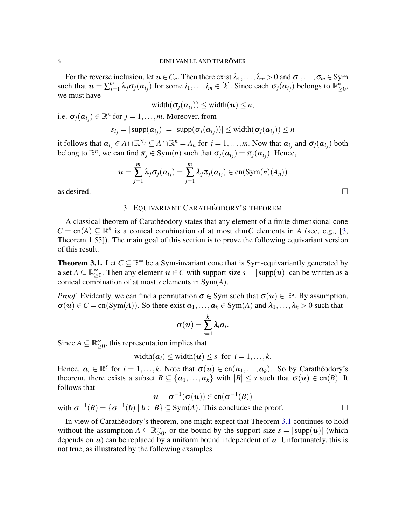For the reverse inclusion, let  $u \in \overline{C}_n$ . Then there exist  $\lambda_1, \ldots, \lambda_m > 0$  and  $\sigma_1, \ldots, \sigma_m \in \text{Sym}$ such that  $u = \sum_{i=1}^{m}$ *j*<sub> $j=1$  *λ*<sub>*j*</sub> *σ*<sub>*j*</sub> (*a*<sub>*i*<sub>*j*</sub>) for some *i*<sub>1</sub>, . . . , *i*<sub>*m*</sub> ∈ [*k*]. Since each *σ*<sub>*j*</sub> (*a*<sub>*i*<sub>*j*</sub>) belongs to  $\mathbb{R}^{\infty}_{\geq}$</sub></sub> ∞<br>≥0, we must have

$$
width( $\sigma_j(a_{i_j})) \leq width(u) \leq n,$
$$

i.e.  $\sigma_j(\mathbf{a}_{i_j}) \in \mathbb{R}^n$  for  $j = 1, \ldots, m$ . Moreover, from

$$
s_{i_j} = |\operatorname{supp}(\boldsymbol{a}_{i_j})| = |\operatorname{supp}(\sigma_j(\boldsymbol{a}_{i_j}))| \leq \operatorname{width}(\sigma_j(\boldsymbol{a}_{i_j})) \leq n
$$

it follows that  $a_{i_j} \in A \cap \mathbb{R}^{s_{i_j}} \subseteq A \cap \mathbb{R}^n = A_n$  for  $j = 1, ..., m$ . Now that  $a_{i_j}$  and  $\sigma_j(a_{i_j})$  both belong to  $\mathbb{R}^n$ , we can find  $\pi_j \in \text{Sym}(n)$  such that  $\sigma_j(\boldsymbol{a}_{i_j}) = \pi_j(\boldsymbol{a}_{i_j})$ . Hence,

$$
\boldsymbol{u}=\sum_{j=1}^m \lambda_j \sigma_j(\boldsymbol{a}_{i_j})=\sum_{j=1}^m \lambda_j \pi_j(\boldsymbol{a}_{i_j})\in \mathrm{cn}(\mathrm{Sym}(n)(A_n))
$$

<span id="page-5-1"></span>as desired.  $\Box$ 

## 3. EQUIVARIANT CARATHÉODORY'S THEOREM

A classical theorem of Carathéodory states that any element of a finite dimensional cone  $C = \text{cn}(A) \subseteq \mathbb{R}^n$  is a conical combination of at most dim*C* elements in *A* (see, e.g., [\[3,](#page-18-20) Theorem 1.55]). The main goal of this section is to prove the following equivariant version of this result.

<span id="page-5-0"></span>**Theorem 3.1.** Let  $C \subseteq \mathbb{R}^{\infty}$  be a Sym-invariant cone that is Sym-equivariantly generated by a set  $A \subseteq \mathbb{R}^{\infty}_{>$  $\sum_{\geq 0}^{\infty}$ . Then any element  $u \in C$  with support size  $s = |\text{supp}(u)|$  can be written as a conical combination of at most *s* elements in Sym(*A*).

*Proof.* Evidently, we can find a permutation  $\sigma \in Sym$  such that  $\sigma(u) \in \mathbb{R}^s$ . By assumption,  $\sigma(u) \in C = \text{cn}(Sym(A))$ . So there exist  $a_1, \ldots, a_k \in \text{Sym}(A)$  and  $\lambda_1, \ldots, \lambda_k > 0$  such that

$$
\sigma(\boldsymbol{u}) = \sum_{i=1}^k \lambda_i \boldsymbol{a}_i.
$$

Since  $A \subseteq \mathbb{R}^{\infty}$  $\sum_{n=0}^{\infty}$ , this representation implies that

with  $\sigma^{-1}(B) = \{\sigma^{-1}$ 

width $(a_i) \leq$  width $(u) \leq s$  for  $i = 1, ..., k$ .

Hence,  $a_i \in \mathbb{R}^s$  for  $i = 1, ..., k$ . Note that  $\sigma(u) \in cn(a_1, ..., a_k)$ . So by Carathéodory's theorem, there exists a subset  $B \subseteq \{a_1, \ldots, a_k\}$  with  $|B| \leq s$  such that  $\sigma(u) \in \text{cn}(B)$ . It follows that

$$
\mathbf{u} = \sigma^{-1}(\sigma(\mathbf{u})) \in \text{cn}(\sigma^{-1}(B))
$$
  
(*b*)  $| \mathbf{b} \in B \} \subseteq \text{Sym}(A)$ . This concludes the proof.

In view of Carathéodory's theorem, one might expect that Theorem [3.1](#page-5-0) continues to hold without the assumption  $A \subseteq \mathbb{R}^{\infty}_{>0}$  $\sum_{r=0}^{\infty}$ , or the bound by the support size  $s = |\text{supp}(u)|$  (which depends on  $u$ ) can be replaced by a uniform bound independent of  $u$ . Unfortunately, this is not true, as illustrated by the following examples.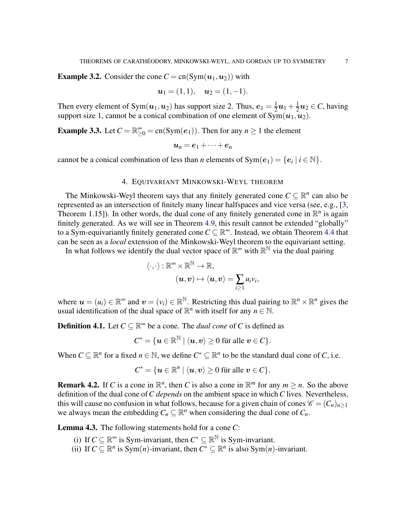**Example 3.2.** Consider the cone  $C = cn(Sym(u_1, u_2))$  with

$$
u_1=(1,1), u_2=(1,-1).
$$

Then every element of Sym $(\boldsymbol{u}_1, \boldsymbol{u}_2)$  has support size 2. Thus,  $\boldsymbol{e}_1 = \frac{1}{2}$  $\frac{1}{2}u_1 + \frac{1}{2}$  $\frac{1}{2}u_2 \in C$ , having support size 1, cannot be a conical combination of one element of  $\widetilde{\mathrm{Sym}}(\boldsymbol{u}_1,\boldsymbol{u}_2)$ .

<span id="page-6-0"></span>**Example 3.3.** Let  $C = \mathbb{R}^{\infty}_{\geq 0} = \text{cn}(\text{Sym}(e_1))$ . Then for any  $n \geq 1$  the element

$$
u_n=e_1+\cdots+e_n
$$

<span id="page-6-1"></span>cannot be a conical combination of less than *n* elements of  $Sym(e_1) = \{e_i \mid i \in \mathbb{N}\}.$ 

### 4. EQUIVARIANT MINKOWSKI-WEYL THEOREM

The Minkowski-Weyl theorem says that any finitely generated cone  $C \subseteq \mathbb{R}^n$  can also be represented as an intersection of finitely many linear halfspaces and vice versa (see, e.g., [\[3,](#page-18-20) Theorem 1.15]). In other words, the dual cone of any finitely generated cone in  $\mathbb{R}^n$  is again finitely generated. As we will see in Theorem [4.9,](#page-10-0) this result cannot be extended "globally" to a Sym-equivariantly finitely generated cone  $C \subseteq \mathbb{R}^{\infty}$ . Instead, we obtain Theorem [4.4](#page-7-0) that can be seen as a *local* extension of the Minkowski-Weyl theorem to the equivariant setting.

In what follows we identify the dual vector space of  $\mathbb{R}^{\infty}$  with  $\mathbb{R}^{\mathbb{N}}$  via the dual pairing

$$
\langle \cdot, \cdot \rangle : \mathbb{R}^\infty \times \mathbb{R}^\mathbb{N} \to \mathbb{R},
$$

$$
(\boldsymbol{u}, \boldsymbol{v}) \mapsto \langle \boldsymbol{u}, \boldsymbol{v} \rangle = \sum_{i \ge 1} u_i v_i,
$$

where  $u = (u_i) \in \mathbb{R}^{\infty}$  and  $v = (v_i) \in \mathbb{R}^{\mathbb{N}}$ . Restricting this dual pairing to  $\mathbb{R}^n \times \mathbb{R}^n$  gives the usual identification of the dual space of  $\mathbb{R}^n$  with itself for any  $n \in \mathbb{N}$ .

**Definition 4.1.** Let  $C \subseteq \mathbb{R}^{\infty}$  be a cone. The *dual cone* of *C* is defined as

$$
C^* = \{ \boldsymbol{u} \in \mathbb{R}^\mathbb{N} \mid \langle \boldsymbol{u}, \boldsymbol{v} \rangle \geq 0 \text{ für alle } \boldsymbol{v} \in C \}.
$$

When  $C \subseteq \mathbb{R}^n$  for a fixed  $n \in \mathbb{N}$ , we define  $C^* \subseteq \mathbb{R}^n$  to be the standard dual cone of *C*, i.e.

$$
C^* = \{ \mathbf{u} \in \mathbb{R}^n \mid \langle \mathbf{u}, \mathbf{v} \rangle \ge 0 \text{ für alle } \mathbf{v} \in C \}.
$$

**Remark 4.2.** If *C* is a cone in  $\mathbb{R}^n$ , then *C* is also a cone in  $\mathbb{R}^m$  for any  $m \ge n$ . So the above definition of the dual cone of*C depends* on the ambient space in which*C* lives. Nevertheless, this will cause no confusion in what follows, because for a given chain of cones  $\mathcal{C} = (C_n)_{n \geq 1}$ we always mean the embedding  $C_n \subseteq \mathbb{R}^n$  when considering the dual cone of  $C_n$ .

<span id="page-6-2"></span>Lemma 4.3. The following statements hold for a cone *C*:

- (i) If  $C \subseteq \mathbb{R}^{\infty}$  is Sym-invariant, then  $C^* \subseteq \mathbb{R}^{\mathbb{N}}$  is Sym-invariant.
- (ii) If  $C \subseteq \mathbb{R}^n$  is Sym(*n*)-invariant, then  $C^* \subseteq \mathbb{R}^n$  is also Sym(*n*)-invariant.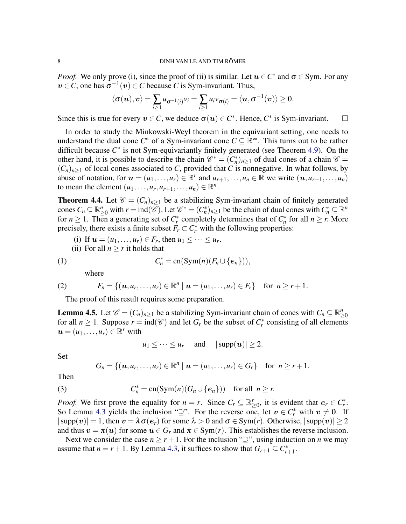*Proof.* We only prove (i), since the proof of (ii) is similar. Let  $u \in C^*$  and  $\sigma \in \text{Sym}$ . For any  $v \in C$ , one has  $\sigma^{-1}(v) \in C$  because *C* is Sym-invariant. Thus,

$$
\langle \sigma(\boldsymbol{u}), \boldsymbol{v} \rangle = \sum_{i \geq 1} u_{\sigma^{-1}(i)} v_i = \sum_{i \geq 1} u_i v_{\sigma(i)} = \langle \boldsymbol{u}, \sigma^{-1}(\boldsymbol{v}) \rangle \geq 0.
$$

Since this is true for every  $v \in C$ , we deduce  $\sigma(u) \in C^*$ . Hence,  $C^*$  is Sym-invariant.  $\square$ 

In order to study the Minkowski-Weyl theorem in the equivariant setting, one needs to understand the dual cone  $C^*$  of a Sym-invariant cone  $C \subseteq \mathbb{R}^{\infty}$ . This turns out to be rather difficult because  $C^*$  is not Sym-equivariantly finitely generated (see Theorem [4.9\)](#page-10-0). On the other hand, it is possible to describe the chain  $\mathcal{C}^* = (C_n^*)_{n \geq 1}$  of dual cones of a chain  $\mathcal{C} =$  $(C_n)_{n\geq 1}$  of local cones associated to *C*, provided that *C* is nonnegative. In what follows, by abuse of notation, for  $u = (u_1, \ldots, u_r) \in \mathbb{R}^r$  and  $u_{r+1}, \ldots, u_n \in \mathbb{R}$  we write  $(u, u_{r+1}, \ldots, u_n)$ to mean the element  $(u_1, \ldots, u_r, u_{r+1}, \ldots, u_n) \in \mathbb{R}^n$ .

<span id="page-7-0"></span>**Theorem 4.4.** Let  $\mathcal{C} = (C_n)_{n \geq 1}$  be a stabilizing Sym-invariant chain of finitely generated cones  $C_n \subseteq \mathbb{R}_{\geq 0}^n$  with  $r = \text{ind}(\overline{\mathscr{C}})$ . Let  $\mathscr{C}^* = (C_n^*)_{n \geq 1}$  be the chain of dual cones with  $C_n^* \subseteq \mathbb{R}^n$ for  $n \geq 1$ . Then a generating set of  $C_r^*$  completely determines that of  $C_n^*$  for all  $n \geq r$ . More precisely, there exists a finite subset  $F_r \subset C_r^*$  with the following properties:

- (i) If  $u = (u_1, ..., u_r) \in F_r$ , then  $u_1 \le ... \le u_r$ .
- (ii) For all  $n \geq r$  it holds that

(1) 
$$
C_n^* = \operatorname{cn}(\operatorname{Sym}(n)(F_n \cup \{e_n\})),
$$

<span id="page-7-4"></span><span id="page-7-3"></span>where

(2) 
$$
F_n = \{ (u, u_r, \dots, u_r) \in \mathbb{R}^n \mid u = (u_1, \dots, u_r) \in F_r \} \text{ for } n \geq r+1.
$$

The proof of this result requires some preparation.

<span id="page-7-2"></span>**Lemma 4.5.** Let  $\mathscr{C} = (C_n)_{n \geq 1}$  be a stabilizing Sym-invariant chain of cones with  $C_n \subseteq \mathbb{R}_{\geq 0}^n$ for all  $n \ge 1$ . Suppose  $r = \text{ind}(\mathcal{C})$  and let  $G_r$  be the subset of  $C_r^*$  consisting of all elements  $u = (u_1, \ldots, u_r) \in \mathbb{R}^r$  with

$$
u_1 \leq \cdots \leq u_r
$$
 and  $|\text{supp}(\boldsymbol{u})| \geq 2$ .

Set

<span id="page-7-1"></span>
$$
G_n = \{(\boldsymbol{u}, u_r, \ldots, u_r) \in \mathbb{R}^n \mid \boldsymbol{u} = (u_1, \ldots, u_r) \in G_r\} \text{ for } n \geq r+1.
$$

Then

(3) 
$$
C_n^* = \text{cn}(\text{Sym}(n)(G_n \cup \{e_n\})) \text{ for all } n \geq r.
$$

*Proof.* We first prove the equality for  $n = r$ . Since  $C_r \subseteq \mathbb{R}_{\geq 0}^r$ , it is evident that  $e_r \in C_r^*$ . So Lemma [4.3](#page-6-2) yields the inclusion " $\supseteq$ ". For the reverse one, let  $v \in C_r^*$  with  $v \neq 0$ . If  $|\text{supp}(v)| = 1$ , then  $v = \lambda \sigma(e_r)$  for some  $\lambda > 0$  and  $\sigma \in \text{Sym}(r)$ . Otherwise,  $|\text{supp}(v)| \ge 2$ and thus  $v = \pi(u)$  for some  $u \in G_r$  and  $\pi \in \text{Sym}(r)$ . This establishes the reverse inclusion.

Next we consider the case  $n \ge r+1$ . For the inclusion " $\supseteq$ ", using induction on *n* we may assume that  $n = r + 1$ . By Lemma [4.3,](#page-6-2) it suffices to show that  $G_{r+1} \subseteq C_{r+1}^*$ .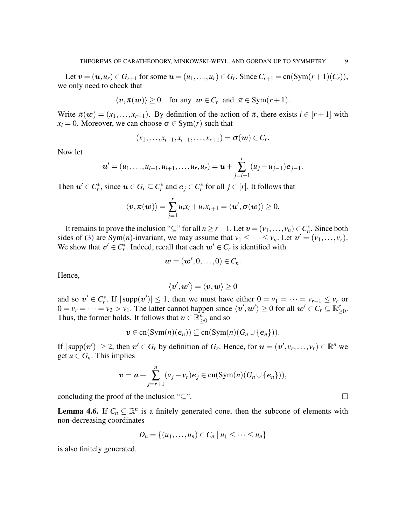Let  $v = (u, u_r) \in G_{r+1}$  for some  $u = (u_1, \ldots, u_r) \in G_r$ . Since  $C_{r+1} = \text{cn}(\text{Sym}(r+1)(C_r)),$ we only need to check that

$$
\langle v,\pi(w)\rangle\geq 0 \quad \text{for any } w\in C_r \text{ and } \pi\in \text{Sym}(r+1).
$$

Write  $\pi(\mathbf{w}) = (x_1, \ldots, x_{r+1})$ . By definition of the action of  $\pi$ , there exists  $i \in [r+1]$  with  $x_i = 0$ . Moreover, we can choose  $\sigma \in \text{Sym}(r)$  such that

$$
(x_1,\ldots,x_{i-1},x_{i+1},\ldots,x_{r+1})=\sigma(w)\in C_r.
$$

Now let

$$
\boldsymbol{u}'=(u_1,\ldots,u_{i-1},u_{i+1},\ldots,u_r,u_r)=\boldsymbol{u}+\sum_{j=i+1}^r(u_j-u_{j-1})e_{j-1}.
$$

Then  $u' \in C_r^*$ , since  $u \in G_r \subseteq C_r^*$  and  $e_j \in C_r^*$  for all  $j \in [r]$ . It follows that

$$
\langle {\boldsymbol v}, \pi({\boldsymbol w})\rangle = \sum_{j=1}^r u_i x_i + u_r x_{r+1} = \langle {\boldsymbol u}', \sigma({\boldsymbol w})\rangle \geq 0.
$$

It remains to prove the inclusion "⊆" for all  $n \ge r+1$ . Let  $v = (v_1, \ldots, v_n) \in C_n^*$ . Since both sides of [\(3\)](#page-7-1) are Sym(*n*)-invariant, we may assume that  $v_1 \leq \cdots \leq v_n$ . Let  $v' = (v_1, \ldots, v_r)$ . We show that  $v' \in C_r^*$ . Indeed, recall that each  $w' \in C_r$  is identified with

$$
\boldsymbol{w}=(\boldsymbol{w}',0,\ldots,0)\in C_n.
$$

Hence,

$$
\langle \boldsymbol{v}', \boldsymbol{w}'\rangle = \langle \boldsymbol{v}, \boldsymbol{w}\rangle \geq 0
$$

and so  $v' \in C_r^*$ . If  $|\text{supp}(v')| \leq 1$ , then we must have either  $0 = v_1 = \cdots = v_{r-1} \leq v_r$  or  $0 = v_r = \dots = v_2 > v_1$ . The latter cannot happen since  $\langle v', w' \rangle \ge 0$  for all  $w' \in C_r \subseteq \mathbb{R}_{\geq 0}^r$ . Thus, the former holds. It follows that  $v \in \mathbb{R}^n$  $_{\geq 0}^n$  and so

$$
\boldsymbol{v} \in \mathrm{cn}(\mathrm{Sym}(n)(\boldsymbol{e}_n)) \subseteq \mathrm{cn}(\mathrm{Sym}(n)(G_n \cup \{\boldsymbol{e}_n\})).
$$

If  $|\text{supp}(v')| \ge 2$ , then  $v' \in G_r$  by definition of  $G_r$ . Hence, for  $u = (v', v_r, \dots, v_r) \in \mathbb{R}^n$  we get  $u \in G_n$ . This implies

$$
\boldsymbol{v}=\boldsymbol{u}+\sum_{j=r+1}^n(v_j-v_r)\boldsymbol{e}_j\in\operatorname{cn}(\operatorname{Sym}(n)(G_n\cup\{\boldsymbol{e}_n\})),
$$

concluding the proof of the inclusion " $\subseteq$ ".

<span id="page-8-0"></span>**Lemma 4.6.** If  $C_n \subseteq \mathbb{R}^n$  is a finitely generated cone, then the subcone of elements with non-decreasing coordinates

$$
D_n = \{(u_1,\ldots,u_n) \in C_n \mid u_1 \leq \cdots \leq u_n\}
$$

is also finitely generated.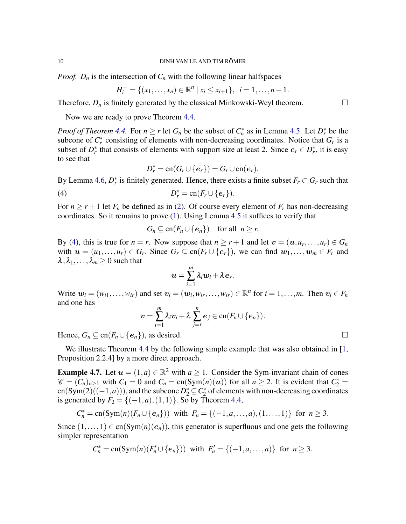*Proof.*  $D_n$  is the intersection of  $C_n$  with the following linear halfspaces

$$
H_i^+ = \{(x_1, \ldots, x_n) \in \mathbb{R}^n \mid x_i \leq x_{i+1}\}, \ \ i = 1, \ldots, n-1.
$$

Therefore,  $D_n$  is finitely generated by the classical Minkowski-Weyl theorem.

Now we are ready to prove Theorem [4.4.](#page-7-0)

*Proof of Theorem [4.4.](#page-7-0)* For  $n \ge r$  let  $G_n$  be the subset of  $C_n^*$  as in Lemma [4.5.](#page-7-2) Let  $D_r^*$  be the subcone of  $C_r^*$  consisting of elements with non-decreasing coordinates. Notice that  $G_r$  is a subset of  $D_r^*$  that consists of elements with support size at least 2. Since  $e_r \in D_r^*$ , it is easy to see that

<span id="page-9-0"></span>
$$
D_r^* = \operatorname{cn}(G_r \cup \{e_r\}) = G_r \cup \operatorname{cn}(e_r).
$$

By Lemma [4.6,](#page-8-0)  $D_r^*$  is finitely generated. Hence, there exists a finite subset  $F_r \subset G_r$  such that

$$
(4) \t\t D_r^* = \operatorname{cn}(F_r \cup \{e_r\}).
$$

For  $n \ge r+1$  let  $F_n$  be defined as in [\(2\)](#page-7-3). Of course every element of  $F_r$  has non-decreasing coordinates. So it remains to prove [\(1\)](#page-7-4). Using Lemma [4.5](#page-7-2) it suffices to verify that

$$
G_n \subseteq \operatorname{cn}(F_n \cup \{e_n\}) \quad \text{for all} \ \ n \geq r.
$$

By [\(4\)](#page-9-0), this is true for  $n = r$ . Now suppose that  $n \ge r + 1$  and let  $v = (u, u_r, \dots, u_r) \in G_n$ with  $u = (u_1, \ldots, u_r) \in G_r$ . Since  $G_r \subseteq \text{cn}(F_r \cup \{e_r\})$ , we can find  $w_1, \ldots, w_m \in F_r$  and  $\lambda, \lambda_1, \ldots, \lambda_m \geq 0$  such that

$$
\boldsymbol{u}=\sum_{i=1}^m\lambda_i\boldsymbol{w}_i+\lambda\boldsymbol{e}_r.
$$

Write  $w_i = (w_{i1}, \ldots, w_{ir})$  and set  $v_i = (w_i, w_{ir}, \ldots, w_{ir}) \in \mathbb{R}^n$  for  $i = 1, \ldots, m$ . Then  $v_i \in F_n$ and one has

$$
\boldsymbol{v}=\sum_{i=1}^m \lambda_i \boldsymbol{v}_i+\lambda \sum_{j=r}^n \boldsymbol{e}_j \in \mathrm{cn}(F_n \cup \{\boldsymbol{e}_n\}).
$$

Hence,  $G_n \subseteq \text{cn}(F_n \cup \{e_n\})$ , as desired.

We illustrate Theorem [4.4](#page-7-0) by the following simple example that was also obtained in [\[1,](#page-18-19) Proposition 2.2.4] by a more direct approach.

<span id="page-9-1"></span>**Example 4.7.** Let  $u = (1, a) \in \mathbb{R}^2$  with  $a \ge 1$ . Consider the Sym-invariant chain of cones  $\mathscr{C} = (\overline{C_n})_{n \geq 1}$  with  $C_1 = 0$  and  $C_n = \text{cn}(\text{Sym}(n)(u))$  for all  $n \geq 2$ . It is evident that  $C_2^* =$  $cn(Sym(2)\overline{((-1,a)}))$ , and the subcone  $D_2^* \subseteq C_2^*$  of elements with non-decreasing coordinates is generated by  $F_2 = \{(-1, a), (1, 1)\}\.$  So by Theorem [4.4,](#page-7-0)

$$
C_n^* = \text{cn}(\text{Sym}(n)(F_n \cup \{e_n\})) \text{ with } F_n = \{(-1, a, \ldots, a), (1, \ldots, 1)\} \text{ for } n \geq 3.
$$

Since  $(1,\ldots,1) \in cn(Sym(n)(e_n))$ , this generator is superfluous and one gets the following simpler representation

$$
C_n^* = \text{cn}(\text{Sym}(n)(F_n' \cup \{e_n\})) \text{ with } F_n' = \{(-1, a, \dots, a)\} \text{ for } n \geq 3.
$$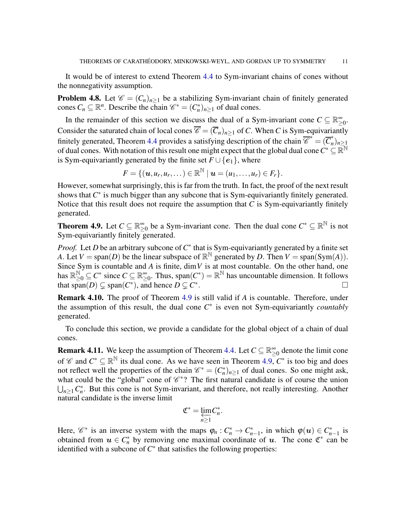It would be of interest to extend Theorem [4.4](#page-7-0) to Sym-invariant chains of cones without the nonnegativity assumption.

**Problem 4.8.** Let  $\mathcal{C} = (C_n)_{n \geq 1}$  be a stabilizing Sym-invariant chain of finitely generated cones  $C_n \subseteq \mathbb{R}^n$ . Describe the chain  $\mathcal{C}^* = (C_n^*)_{n \geq 1}$  of dual cones.

In the remainder of this section we discuss the dual of a Sym-invariant cone  $C \subseteq \mathbb{R}^{\infty}$ ≥0 . Consider the saturated chain of local cones  $\overline{\mathscr{C}} = (\overline{C}_n)_{n>1}$  of *C*. When *C* is Sym-equivariantly finitely generated, Theorem [4.4](#page-7-0) provides a satisfying description of the chain  $\overline{\mathscr{C}}^* = (\overline{C}_n^*)^*$  $\binom{n}{n}$ *n*≥1 of dual cones. With notation of this result one might expect that the global dual cone  $C^*\subseteq \mathbb{R}^\mathbb{N}$ is Sym-equivariantly generated by the finite set  $F \cup \{e_1\}$ , where

$$
F = \{(\boldsymbol{u}, u_r, u_r, \dots) \in \mathbb{R}^{\mathbb{N}} \mid \boldsymbol{u} = (u_1, \dots, u_r) \in F_r\}.
$$

However, somewhat surprisingly, this is far from the truth. In fact, the proof of the next result shows that  $C^*$  is much bigger than any subcone that is Sym-equivariantly finitely generated. Notice that this result does not require the assumption that  $C$  is Sym-equivariantly finitely generated.

<span id="page-10-0"></span>**Theorem 4.9.** Let  $C \subseteq \mathbb{R}^{\infty}$  $\sum_{n=0}^{\infty}$  be a Sym-invariant cone. Then the dual cone  $C^* \subseteq \mathbb{R}^{\mathbb{N}}$  is not Sym-equivariantly finitely generated.

*Proof.* Let *D* be an arbitrary subcone of  $C^*$  that is Sym-equivariantly generated by a finite set *A*. Let  $V = \text{span}(D)$  be the linear subspace of  $\mathbb{R}^{\mathbb{N}}$  generated by *D*. Then  $V = \text{span}(\text{Sym}(A)).$ Since Sym is countable and *A* is finite, dim*V* is at most countable. On the other hand, one has  $\mathbb{R}^{\mathbb{N}}_{\geq 0} \subseteq C^*$  since  $C \subseteq \mathbb{R}^{\infty}_{\geq}$  $\sum_{n=0}^{\infty}$ . Thus, span $(C^*) = \mathbb{R}^{\mathbb{N}}$  has uncountable dimension. It follows that span $(D) \subsetneq$  span $(C^*)$ , and hence  $D \subsetneq C^*$ . В последните последните последните последните последните последните последните последните последните последн<br>В 1990 године последните последните последните последните последните последните последните последните последни

Remark 4.10. The proof of Theorem [4.9](#page-10-0) is still valid if *A* is countable. Therefore, under the assumption of this result, the dual cone  $C^*$  is even not Sym-equivariantly *countably* generated.

To conclude this section, we provide a candidate for the global object of a chain of dual cones.

**Remark 4.11.** We keep the assumption of Theorem [4.4.](#page-7-0) Let  $C \subseteq \mathbb{R}^{\infty}$  $\sum_{i=0}^{\infty}$  denote the limit cone of  $\mathscr{C}$  and  $C^* \subseteq \mathbb{R}^{\mathbb{N}}$  its dual cone. As we have seen in Theorem [4.9,](#page-10-0)  $C^*$  is too big and does not reflect well the properties of the chain  $\mathcal{C}^* = (C_n^*)_{n \geq 1}$  of dual cones. So one might ask, what could be the "global" cone of  $\mathcal{C}^*$ ? The first natural candidate is of course the union  $\bigcup_{n\geq 1} C_n^*$ . But this cone is not Sym-invariant, and therefore, not really interesting. Another natural candidate is the inverse limit

$$
\mathfrak{C}^*=\varprojlim_{n\geq 1}C_n^*.
$$

Here,  $\mathscr{C}^*$  is an inverse system with the maps  $\varphi_n : C_n^* \to C_{n-1}^*$ , in which  $\varphi(u) \in C_{n-1}^*$  is obtained from  $u \in C_n^*$  by removing one maximal coordinate of u. The cone  $\mathfrak{C}^*$  can be identified with a subcone of  $C^*$  that satisfies the following properties: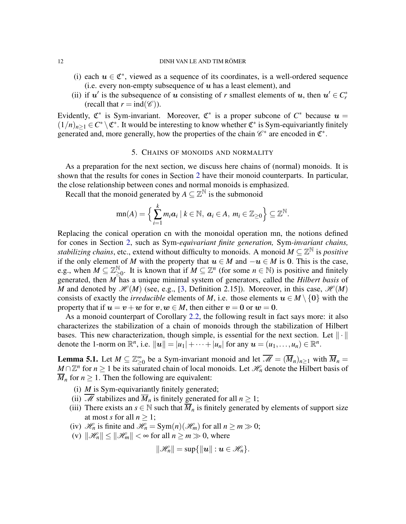- (i) each  $u \in \mathfrak{C}^*$ , viewed as a sequence of its coordinates, is a well-ordered sequence (i.e. every non-empty subsequence of  $u$  has a least element), and
- (ii) if  $u'$  is the subsequence of u consisting of r smallest elements of u, then  $u' \in C_r^*$ (recall that  $r = \text{ind}(\mathscr{C})$ ).

Evidently,  $\mathfrak{C}^*$  is Sym-invariant. Moreover,  $\mathfrak{C}^*$  is a proper subcone of  $C^*$  because  $u =$  $(1/n)_{n\geq 1} \in C^* \setminus \mathfrak{C}^*$ . It would be interesting to know whether  $\mathfrak{C}^*$  is Sym-equivariantly finitely generated and, more generally, how the properties of the chain  $\mathscr{C}^*$  are encoded in  $\mathfrak{C}^*$ .

## 5. CHAINS OF MONOIDS AND NORMALITY

<span id="page-11-1"></span>As a preparation for the next section, we discuss here chains of (normal) monoids. It is shown that the results for cones in Section [2](#page-2-0) have their monoid counterparts. In particular, the close relationship between cones and normal monoids is emphasized.

Recall that the monoid generated by  $A \subseteq \mathbb{Z}^{\mathbb{N}}$  is the submonoid

$$
\operatorname{mn}(A) = \left\{ \sum_{i=1}^k m_i \mathbf{a}_i \mid k \in \mathbb{N}, \ \mathbf{a}_i \in A, \ m_i \in \mathbb{Z}_{\geq 0} \right\} \subseteq \mathbb{Z}^{\mathbb{N}}.
$$

Replacing the conical operation cn with the monoidal operation mn, the notions defined for cones in Section [2,](#page-2-0) such as Sym*-equivariant finite generation,* Sym*-invariant chains, stabilizing chains*, etc., extend without difficulty to monoids. A monoid *M* ⊆ Z <sup>N</sup> is *positive* if the only element of *M* with the property that  $u \in M$  and  $-u \in M$  is 0. This is the case, e.g., when  $M \subseteq \mathbb{Z}_{\geq 0}^{\mathbb{N}}$ . It is known that if  $M \subseteq \mathbb{Z}^n$  (for some  $n \in \mathbb{N}$ ) is positive and finitely generated, then *M* has a unique minimal system of generators, called the *Hilbert basis* of *M* and denoted by  $\mathcal{H}(M)$  (see, e.g., [\[3,](#page-18-20) Definition 2.15]). Moreover, in this case,  $\mathcal{H}(M)$ consists of exactly the *irreducible* elements of *M*, i.e. those elements  $u \in M \setminus \{0\}$  with the property that if  $u = v + w$  for  $v, w \in M$ , then either  $v = 0$  or  $w = 0$ .

As a monoid counterpart of Corollary [2.2,](#page-4-1) the following result in fact says more: it also characterizes the stabilization of a chain of monoids through the stabilization of Hilbert bases. This new characterization, though simple, is essential for the next section. Let  $\|\cdot\|$ denote the 1-norm on  $\mathbb{R}^n$ , i.e.  $||u|| = |u_1| + \cdots + |u_n|$  for any  $u = (u_1, \ldots, u_n) \in \mathbb{R}^n$ .

<span id="page-11-0"></span>**Lemma 5.1.** Let  $M \subseteq \mathbb{Z}_>^{\infty}$  $\sum_{n=0}^{\infty}$  be a Sym-invariant monoid and let  $\overline{\mathcal{M}} = (\overline{M}_n)_{n \geq 1}$  with  $\overline{M}_n =$ *M* ∩  $\mathbb{Z}^n$  for  $n \geq 1$  be its saturated chain of local monoids. Let  $\mathcal{H}_n$  denote the Hilbert basis of  $\overline{M}_n$  for  $n \geq 1$ . Then the following are equivalent:

- (i) *M* is Sym-equivariantly finitely generated;
- (ii)  $\overline{\mathcal{M}}$  stabilizes and  $\overline{M}_n$  is finitely generated for all  $n \geq 1$ ;
- (iii) There exists an  $s \in \mathbb{N}$  such that  $\overline{M}_n$  is finitely generated by elements of support size at most *s* for all  $n > 1$ ;
- (iv)  $\mathcal{H}_n$  is finite and  $\mathcal{H}_n = \text{Sym}(n)(\mathcal{H}_m)$  for all  $n \geq m \gg 0$ ;
- (v)  $\|\mathcal{H}_n\| \le \|\mathcal{H}_m\| < \infty$  for all  $n \ge m \gg 0$ , where

$$
\|\mathscr{H}_n\|=\sup\{\|\boldsymbol{u}\|:\boldsymbol{u}\in\mathscr{H}_n\}.
$$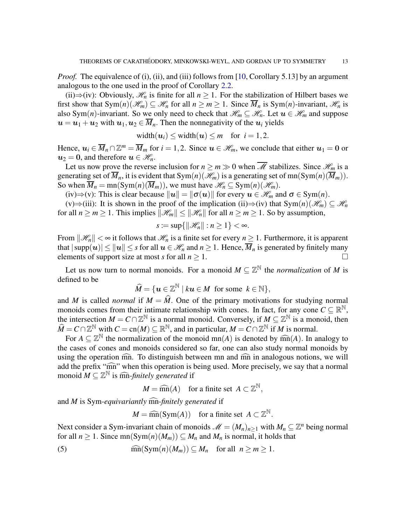*Proof.* The equivalence of (i), (ii), and (iii) follows from [\[10,](#page-18-0) Corollary 5.13] by an argument analogous to the one used in the proof of Corollary [2.2.](#page-4-1)

(ii)⇒(iv): Obviously,  $\mathcal{H}_n$  is finite for all  $n \geq 1$ . For the stabilization of Hilbert bases we first show that  $Sym(n)(\mathcal{H}_m) \subseteq \mathcal{H}_n$  for all  $n \geq m \geq 1$ . Since  $\overline{M}_n$  is  $Sym(n)$ -invariant,  $\mathcal{H}_n$  is also Sym(*n*)-invariant. So we only need to check that  $\mathcal{H}_m \subseteq \mathcal{H}_n$ . Let  $u \in \mathcal{H}_m$  and suppose  $u = u_1 + u_2$  with  $u_1, u_2 \in \overline{M}_n$ . Then the nonnegativity of the  $u_i$  yields

width $(u_i) \leq$  width $(u) \leq m$  for  $i = 1, 2$ .

Hence,  $u_i \in \overline{M}_n \cap \mathbb{Z}^m = \overline{M}_m$  for  $i = 1, 2$ . Since  $u \in \mathcal{H}_m$ , we conclude that either  $u_1 = 0$  or  $u_2 = 0$ , and therefore  $u \in \mathcal{H}_n$ .

Let us now prove the reverse inclusion for  $n \ge m \gg 0$  when  $\overline{\mathcal{M}}$  stabilizes. Since  $\mathcal{H}_m$  is a generating set of  $\overline{M}_n$ , it is evident that Sym $(n)(\mathcal{H}_m)$  is a generating set of mn(Sym $(n)(\overline{M}_m)$ ). So when  $\overline{M}_n = \text{mn}(\text{Sym}(n)(\overline{M}_m))$ , we must have  $\mathcal{H}_n \subseteq \text{Sym}(n)(\mathcal{H}_m)$ .

(iv)⇒(v): This is clear because  $||u|| = ||\sigma(u)||$  for every  $u \in \mathcal{H}_m$  and  $\sigma \in \text{Sym}(n)$ .

(v)⇒(iii): It is shown in the proof of the implication (ii)⇒(iv) that  $Sym(n)(\mathcal{H}_m) \subseteq \mathcal{H}_n$ for all  $n \ge m \ge 1$ . This implies  $\|\mathcal{H}_m\| \le \|\mathcal{H}_n\|$  for all  $n \ge m \ge 1$ . So by assumption,

$$
s := \sup\{\|\mathcal{H}_n\| : n \geq 1\} < \infty.
$$

From  $\|\mathcal{H}_n\| < \infty$  it follows that  $\mathcal{H}_n$  is a finite set for every  $n \geq 1$ . Furthermore, it is apparent that  $|\text{supp}(u)| \le ||u|| \le s$  for all  $u \in \mathcal{H}_n$  and  $n \ge 1$ . Hence,  $\overline{M}_n$  is generated by finitely many elements of support size at most *s* for all  $n \geq 1$ .

Let us now turn to normal monoids. For a monoid  $M \subseteq \mathbb{Z}^{\mathbb{N}}$  the *normalization* of M is defined to be

$$
\widehat{M} = \{ \boldsymbol{u} \in \mathbb{Z}^{\mathbb{N}} \mid k \boldsymbol{u} \in M \text{ for some } k \in \mathbb{N} \},
$$

and *M* is called *normal* if  $M = \hat{M}$ . One of the primary motivations for studying normal monoids comes from their intimate relationship with cones. In fact, for any cone  $C \subseteq \mathbb{R}^{\mathbb{N}}$ , the intersection  $M = C \cap \mathbb{Z}^{\mathbb{N}}$  is a normal monoid. Conversely, if  $M \subseteq \mathbb{Z}^{\mathbb{N}}$  is a monoid, then  $\widehat{M} = C \cap \mathbb{Z}^{\mathbb{N}}$  with  $C = \text{cn}(M) \subseteq \mathbb{R}^{\mathbb{N}}$ , and in particular,  $M = C \cap \mathbb{Z}^{\mathbb{N}}$  if *M* is normal.

For  $A \subseteq \mathbb{Z}^{\mathbb{N}}$  the normalization of the monoid  $mn(A)$  is denoted by  $\widehat{mn}(A)$ . In analogy to the cases of cones and monoids considered so far, one can also study normal monoids by using the operation  $\widehat{mn}$ . To distinguish between mn and  $\widehat{mn}$  in analogous notions, we will add the prefix "mn" when this operation is being used. More precisely, we say that a normal monoid  $M \subseteq \mathbb{Z}^{\mathbb{N}}$  is matikely generated if

 $M = \widehat{mn}(A)$  for a finite set  $A \subset \mathbb{Z}^{\mathbb{N}},$ 

and *M* is Sym-equivariantly mn-finitely generated if

<span id="page-12-0"></span> $M = \widehat{\text{mn}}(\text{Sym}(A))$  for a finite set  $A \subset \mathbb{Z}^{\mathbb{N}}$ .

Next consider a Sym-invariant chain of monoids  $\mathcal{M} = (M_n)_{n \geq 1}$  with  $M_n \subseteq \mathbb{Z}^n$  being normal for all  $n \ge 1$ . Since mn(Sym(n)( $M_m$ ))  $\subseteq M_n$  and  $M_n$  is normal, it holds that

(5) 
$$
\widehat{\text{mn}}(\text{Sym}(n)(M_m)) \subseteq M_n \text{ for all } n \geq m \geq 1.
$$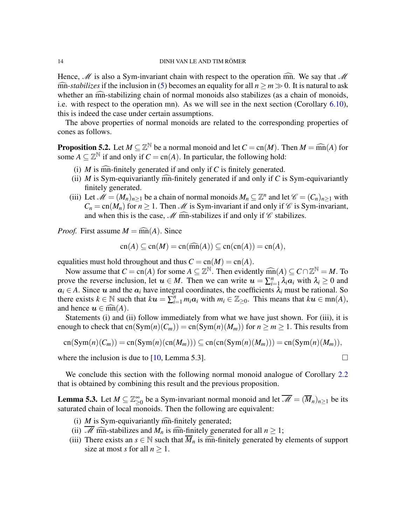Hence,  $\mathcal M$  is also a Sym-invariant chain with respect to the operation  $\widehat{mn}$ . We say that  $\mathcal M$  $\widehat{mn}$ -*stabilizes* if the inclusion in [\(5\)](#page-12-0) becomes an equality for all  $n \ge m \gg 0$ . It is natural to ask whether an  $\widehat{mn}$ -stabilizing chain of normal monoids also stabilizes (as a chain of monoids, i.e. with respect to the operation mn). As we will see in the next section (Corollary [6.10\)](#page-17-0), this is indeed the case under certain assumptions.

The above properties of normal monoids are related to the corresponding properties of cones as follows.

<span id="page-13-0"></span>**Proposition 5.2.** Let  $M \subseteq \mathbb{Z}^{\mathbb{N}}$  be a normal monoid and let  $C = \text{cn}(M)$ . Then  $M = \widehat{\text{mn}}(A)$  for some  $A \subseteq \mathbb{Z}^{\mathbb{N}}$  if and only if  $C = \text{cn}(A)$ . In particular, the following hold:

- (i)  $M$  is ma-finitely generated if and only if  $C$  is finitely generated.
- (ii)  $M$  is Sym-equivariantly mn-finitely generated if and only if  $C$  is Sym-equivariantly finitely generated.
- (iii) Let  $\mathcal{M} = (M_n)_{n \geq 1}$  be a chain of normal monoids  $M_n \subseteq \mathbb{Z}^n$  and let  $\mathcal{C} = (C_n)_{n \geq 1}$  with  $C_n = \text{cn}(M_n)$  for  $n \ge 1$ . Then *M* is Sym-invariant if and only if  $\mathcal C$  is Sym-invariant, and when this is the case,  $\mathcal{M}$  mm-stabilizes if and only if  $\mathcal{C}$  stabilizes.

*Proof.* First assume  $M = \widehat{mn}(A)$ . Since

$$
cn(A) \subseteq cn(M) = cn(\widehat{mn}(A)) \subseteq cn(cn(A)) = cn(A),
$$

equalities must hold throughout and thus  $C = cn(M) = cn(A)$ .

Now assume that  $C = cn(A)$  for some  $A \subseteq \mathbb{Z}^{\mathbb{N}}$ . Then evidently  $\widehat{mn}(A) \subseteq C \cap \mathbb{Z}^{\mathbb{N}} = M$ . To prove the reverse inclusion, let  $u \in M$ . Then we can write  $u = \sum_{i=1}^{n} u_i$  $\sum_{i=1}^n \lambda_i \mathbf{a}_i$  with  $\lambda_i \geq 0$  and  $a_i \in A$ . Since u and the  $a_i$  have integral coordinates, the coefficients  $\lambda_i$  must be rational. So there exists  $k \in \mathbb{N}$  such that  $ku = \sum_{i=1}^{n} m_i a_i$  with  $m_i \in \mathbb{Z}_{\geq 0}$ . This means that  $ku \in \text{mn}(A)$ , and hence  $u \in \widehat{mn}(A)$ .

Statements (i) and (ii) follow immediately from what we have just shown. For (iii), it is enough to check that  $cn(Sym(n)(C_m)) = cn(Sym(n)(M_m))$  for  $n \ge m \ge 1$ . This results from

$$
cn(Sym(n)(C_m)) = cn(Sym(n)(cn(M_m))) \subseteq cn(cn(Sym(n)(M_m))) = cn(Sym(n)(M_m)),
$$

where the inclusion is due to [\[10,](#page-18-0) Lemma 5.3].  $\Box$ 

We conclude this section with the following normal monoid analogue of Corollary [2.2](#page-4-1) that is obtained by combining this result and the previous proposition.

**Lemma 5.3.** Let  $M \subseteq \mathbb{Z}_>^{\infty}$  $\sum_{n=0}^{\infty}$  be a Sym-invariant normal monoid and let  $\overline{\mathscr{M}} = (\overline{M}_n)_{n \geq 1}$  be its saturated chain of local monoids. Then the following are equivalent:

- (i)  $M$  is Sym-equivariantly  $\widehat{mn}$ -finitely generated;
- (ii) M mn-stabilizes and  $M_n$  is mn-finitely generated for all  $n \ge 1$ ;
- (iii) There exists an  $s \in \mathbb{N}$  such that  $\overline{M}_n$  is manifiely generated by elements of support size at most *s* for all  $n \geq 1$ .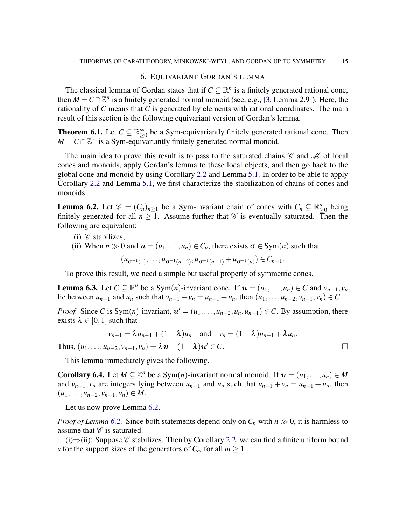### 6. EQUIVARIANT GORDAN'S LEMMA

<span id="page-14-2"></span>The classical lemma of Gordan states that if  $C \subseteq \mathbb{R}^n$  is a finitely generated rational cone, then  $M = C \cap \mathbb{Z}^n$  is a finitely generated normal monoid (see, e.g., [\[3,](#page-18-20) Lemma 2.9]). Here, the rationality of *C* means that *C* is generated by elements with rational coordinates. The main result of this section is the following equivariant version of Gordan's lemma.

<span id="page-14-0"></span>**Theorem 6.1.** Let  $C \subseteq \mathbb{R}^{\infty}$  $\sum_{\geq 0}^{\infty}$  be a Sym-equivariantly finitely generated rational cone. Then  $M = C \cap \mathbb{Z}^{\infty}$  is a Sym-equivariantly finitely generated normal monoid.

The main idea to prove this result is to pass to the saturated chains  $\overline{\mathscr{C}}$  and  $\overline{\mathscr{M}}$  of local cones and monoids, apply Gordan's lemma to these local objects, and then go back to the global cone and monoid by using Corollary [2.2](#page-4-1) and Lemma [5.1.](#page-11-0) In order to be able to apply Corollary [2.2](#page-4-1) and Lemma [5.1,](#page-11-0) we first characterize the stabilization of chains of cones and monoids.

<span id="page-14-1"></span>**Lemma 6.2.** Let  $\mathscr{C} = (C_n)_{n \geq 1}$  be a Sym-invariant chain of cones with  $C_n \subseteq \mathbb{R}_{\geq 0}^n$  being finitely generated for all  $n > 1$ . Assume further that  $\mathscr C$  is eventually saturated. Then the following are equivalent:

- (i)  $\mathscr C$  stabilizes;
- (ii) When  $n \gg 0$  and  $u = (u_1, \ldots, u_n) \in C_n$ , there exists  $\sigma \in \text{Sym}(n)$  such that

 $(u_{\sigma^{-1}(1)},...,u_{\sigma^{-1}(n-2)},u_{\sigma^{-1}(n-1)}+u_{\sigma^{-1}(n)})\in C_{n-1}.$ 

To prove this result, we need a simple but useful property of symmetric cones.

<span id="page-14-3"></span>**Lemma 6.3.** Let  $C \subseteq \mathbb{R}^n$  be a Sym(*n*)-invariant cone. If  $u = (u_1, \ldots, u_n) \in C$  and  $v_{n-1}, v_n$ lie between  $u_{n-1}$  and  $u_n$  such that  $v_{n-1} + v_n = u_{n-1} + u_n$ , then  $(u_1, \ldots, u_{n-2}, v_{n-1}, v_n) \in C$ .

*Proof.* Since *C* is Sym(*n*)-invariant,  $u' = (u_1, \ldots, u_{n-2}, u_n, u_{n-1}) \in C$ . By assumption, there exists  $\lambda \in [0,1]$  such that

$$
v_{n-1} = \lambda u_{n-1} + (1 - \lambda)u_n \quad \text{and} \quad v_n = (1 - \lambda)u_{n-1} + \lambda u_n.
$$

Thus,  $(u_1, ..., u_{n-2}, v_{n-1}, v_n) = \lambda \mathbf{u} + (1 - \lambda) \mathbf{u}' \in C.$ 

This lemma immediately gives the following.

<span id="page-14-4"></span>Corollary 6.4. Let  $M \subseteq \mathbb{Z}^n$  be a Sym $(n)$ -invariant normal monoid. If  $u = (u_1, \ldots, u_n) \in M$ and  $v_{n-1}, v_n$  are integers lying between  $u_{n-1}$  and  $u_n$  such that  $v_{n-1} + v_n = u_{n-1} + u_n$ , then  $(u_1, \ldots, u_{n-2}, v_{n-1}, v_n) \in M$ .

Let us now prove Lemma [6.2.](#page-14-1)

*Proof of Lemma* [6.2.](#page-14-1) Since both statements depend only on  $C_n$  with  $n \gg 0$ , it is harmless to assume that  $\mathscr C$  is saturated.

(i)⇒(ii): Suppose  $\mathscr C$  stabilizes. Then by Corollary [2.2,](#page-4-1) we can find a finite uniform bound *s* for the support sizes of the generators of  $C_m$  for all  $m \geq 1$ .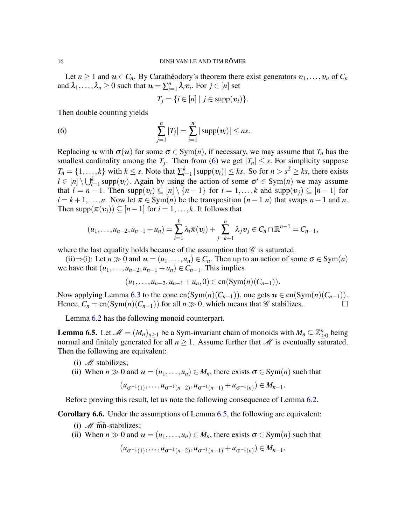Let  $n \geq 1$  and  $u \in C_n$ . By Carathéodory's theorem there exist generators  $v_1, \ldots, v_n$  of  $C_n$ and  $\lambda_1, \ldots, \lambda_n \geq 0$  such that  $\boldsymbol{u} = \sum_{i=1}^n \lambda_i \boldsymbol{v}_i$ . For  $j \in [n]$  set

<span id="page-15-1"></span>
$$
T_j = \{i \in [n] \mid j \in \text{supp}(\boldsymbol{v}_i)\}.
$$

Then double counting yields

(6) 
$$
\sum_{j=1}^{n} |T_j| = \sum_{i=1}^{n} |\text{supp}(v_i)| \le ns.
$$

Replacing u with  $\sigma(u)$  for some  $\sigma \in \text{Sym}(n)$ , if necessary, we may assume that  $T_n$  has the smallest cardinality among the  $T_j$ . Then from [\(6\)](#page-15-1) we get  $|T_n| \leq s$ . For simplicity suppose  $T_n = \{1, \ldots, k\}$  with  $k \leq s$ . Note that  $\sum_{i=1}^k |\text{supp}(v_i)| \leq ks$ . So for  $n > s^2 \geq ks$ , there exists  $l \in [n] \setminus \bigcup_{i=1}^k \text{supp}(v_i)$ . Again by using the action of some  $\sigma' \in \text{Sym}(n)$  we may assume that  $l = n - 1$ . Then  $supp(v_i) \subseteq [n] \setminus \{n-1\}$  for  $i = 1, ..., k$  and  $supp(v_j) \subseteq [n-1]$  for  $i = k+1,...,n$ . Now let  $\pi \in \text{Sym}(n)$  be the transposition  $(n-1, n)$  that swaps  $n-1$  and  $n$ . Then  $\text{supp}(\pi(\mathbf{v}_i)) \subseteq [n-1]$  for  $i = 1, ..., k$ . It follows that

$$
(u_1,\ldots,u_{n-2},u_{n-1}+u_n)=\sum_{i=1}^k \lambda_i \pi(v_i)+\sum_{j=k+1}^n \lambda_j v_j\in C_n\cap \mathbb{R}^{n-1}=C_{n-1},
$$

where the last equality holds because of the assumption that  $\mathscr C$  is saturated.

(ii) $\Rightarrow$ (i): Let  $n \gg 0$  and  $u = (u_1, \ldots, u_n) \in C_n$ . Then up to an action of some  $\sigma \in \text{Sym}(n)$ we have that  $(u_1, \ldots, u_{n-2}, u_{n-1} + u_n) \in C_{n-1}$ . This implies

$$
(u_1,\ldots,u_{n-2},u_{n-1}+u_n,0)\in \mathrm{cn}(\mathrm{Sym}(n)(C_{n-1})).
$$

Now applying Lemma [6.3](#page-14-3) to the cone cn(Sym(*n*)( $C_{n-1}$ )), one gets  $u \in cn(Sym(n)(C_{n-1}))$ . Hence,  $C_n = \text{cn}(\text{Sym}(n)(C_{n-1}))$  for all  $n \gg 0$ , which means that  $\mathscr C$  stabilizes.

Lemma [6.2](#page-14-1) has the following monoid counterpart.

<span id="page-15-0"></span>**Lemma 6.5.** Let  $\mathcal{M} = (M_n)_{n \geq 1}$  be a Sym-invariant chain of monoids with  $M_n \subseteq \mathbb{Z}_p^n$  $_{\geq 0}^n$  being normal and finitely generated for all  $n \geq 1$ . Assume further that  $\mathcal M$  is eventually saturated. Then the following are equivalent:

- (i)  $M$  stabilizes;
- (ii) When  $n \gg 0$  and  $u = (u_1, \ldots, u_n) \in M_n$ , there exists  $\sigma \in \text{Sym}(n)$  such that

$$
(u_{\sigma^{-1}(1)},\ldots,u_{\sigma^{-1}(n-2)},u_{\sigma^{-1}(n-1)}+u_{\sigma^{-1}(n)})\in M_{n-1}.
$$

Before proving this result, let us note the following consequence of Lemma [6.2.](#page-14-1)

<span id="page-15-2"></span>Corollary 6.6. Under the assumptions of Lemma [6.5,](#page-15-0) the following are equivalent:

- (i)  $M \widehat{mn}$ -stabilizes;
- (ii) When  $n \gg 0$  and  $u = (u_1, \ldots, u_n) \in M_n$ , there exists  $\sigma \in \text{Sym}(n)$  such that

$$
(u_{\sigma^{-1}(1)},\ldots,u_{\sigma^{-1}(n-2)},u_{\sigma^{-1}(n-1)}+u_{\sigma^{-1}(n)})\in M_{n-1}.
$$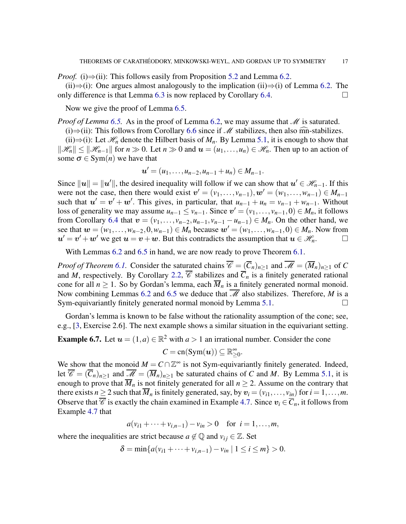*Proof.* (i) $\Rightarrow$ (ii): This follows easily from Proposition [5.2](#page-13-0) and Lemma [6.2.](#page-14-1)

(ii)⇒(i): One argues almost analogously to the implication (ii)⇒(i) of Lemma [6.2.](#page-14-1) The only difference is that Lemma [6.3](#page-14-3) is now replaced by Corollary [6.4.](#page-14-4)  $\Box$ 

Now we give the proof of Lemma [6.5.](#page-15-0)

*Proof of Lemma [6.5.](#page-15-0)* As in the proof of Lemma [6.2,](#page-14-1) we may assume that *M* is saturated.

(i)⇒(ii): This follows from Corollary [6.6](#page-15-2) since if  $M$  stabilizes, then also mn-stabilizes.

(ii)⇒(i): Let  $\mathcal{H}_n$  denote the Hilbert basis of  $M_n$ . By Lemma [5.1,](#page-11-0) it is enough to show that  $\|\mathcal{H}_n\|$  ≤  $\|\mathcal{H}_{n-1}\|$  for  $n \gg 0$ . Let  $n \gg 0$  and  $u = (u_1, \ldots, u_n) \in \mathcal{H}_n$ . Then up to an action of some  $\sigma \in \text{Sym}(n)$  we have that

$$
u'=(u_1,\ldots,u_{n-2},u_{n-1}+u_n)\in M_{n-1}.
$$

Since  $||u|| = ||u'||$ , the desired inequality will follow if we can show that  $u' \in \mathcal{H}_{n-1}$ . If this were not the case, then there would exist  $v' = (v_1, \ldots, v_{n-1}), w' = (w_1, \ldots, w_{n-1}) \in M_{n-1}$ such that  $u' = v' + w'$ . This gives, in particular, that  $u_{n-1} + u_n = v_{n-1} + w_{n-1}$ . Without loss of generality we may assume  $u_{n-1} \le v_{n-1}$ . Since  $v' = (v_1, \ldots, v_{n-1}, 0) \in M_n$ , it follows from Corollary [6.4](#page-14-4) that  $v = (v_1, \ldots, v_{n-2}, u_{n-1}, v_{n-1} - u_{n-1}) \in M_n$ . On the other hand, we see that  $w = (w_1, \ldots, w_{n-2}, 0, w_{n-1}) \in M_n$  because  $w' = (w_1, \ldots, w_{n-1}, 0) \in M_n$ . Now from  $u' = v' + w'$  we get  $u = v + w$ . But this contradicts the assumption that  $u \in \mathcal{H}_n$ .

With Lemmas  $6.2$  and  $6.5$  in hand, we are now ready to prove Theorem  $6.1$ .

*Proof of Theorem [6.1.](#page-14-0)* Consider the saturated chains  $\overline{\mathscr{C}} = (\overline{C}_n)_{n>1}$  and  $\overline{\mathscr{M}} = (\overline{M}_n)_{n>1}$  of C and *M*, respectively. By Corollary [2.2,](#page-4-1)  $\overline{\mathscr{C}}$  stabilizes and  $\overline{C}_n$  is a finitely generated rational cone for all  $n \ge 1$ . So by Gordan's lemma, each  $\overline{M}_n$  is a finitely generated normal monoid. Now combining Lemmas [6.2](#page-14-1) and [6.5](#page-15-0) we deduce that  $\overline{\mathcal{M}}$  also stabilizes. Therefore, *M* is a Sym-equivariantly finitely generated normal monoid by Lemma [5.1.](#page-11-0)

Gordan's lemma is known to be false without the rationality assumption of the cone; see, e.g., [\[3,](#page-18-20) Exercise 2.6]. The next example shows a similar situation in the equivariant setting.

**Example 6.7.** Let  $u = (1, a) \in \mathbb{R}^2$  with  $a > 1$  an irrational number. Consider the cone

$$
C = \mathrm{cn}(\mathrm{Sym}(\boldsymbol{u})) \subseteq \mathbb{R}_{\geq 0}^{\infty}.
$$

We show that the monoid  $M = C \cap \mathbb{Z}^{\infty}$  is not Sym-equivariantly finitely generated. Indeed, let  $\overline{\mathscr{C}} = (\overline{C}_n)_{n \geq 1}$  and  $\overline{\mathscr{M}} = (\overline{M}_n)_{n \geq 1}$  be saturated chains of *C* and *M*. By Lemma [5.1,](#page-11-0) it is enough to prove that  $\overline{M}_n$  is not finitely generated for all  $n \geq 2$ . Assume on the contrary that there exists  $n \ge 2$  such that  $\overline{M}_n$  is finitely generated, say, by  $v_i = (v_{i1}, \ldots, v_{in})$  for  $i = 1, \ldots, m$ . Observe that  $\overline{\mathscr{C}}$  is exactly the chain examined in Example [4.7.](#page-9-1) Since  $v_i \in \overline{C}_n$ , it follows from Example [4.7](#page-9-1) that

 $a(v_{i1} + \cdots + v_{i,n-1}) - v_{in} > 0$  for  $i = 1, \ldots, m$ ,

where the inequalities are strict because  $a \notin \mathbb{Q}$  and  $v_{ij} \in \mathbb{Z}$ . Set

$$
\delta = \min \{ a(v_{i1} + \dots + v_{i,n-1}) - v_{in} \mid 1 \le i \le m \} > 0.
$$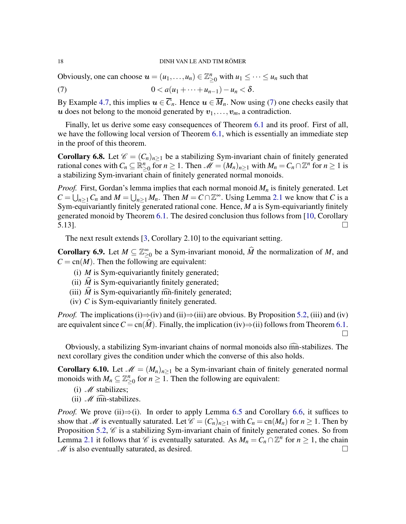Obviously, one can choose  $u = (u_1, \ldots, u_n) \in \mathbb{Z}_{\geq 0}^n$  with  $u_1 \leq \cdots \leq u_n$  such that

<span id="page-17-1"></span>(7)  $0 < a(u_1 + \cdots + u_{n-1}) - u_n < \delta.$ 

By Example [4.7,](#page-9-1) this implies  $u \in \overline{C}_n$ . Hence  $u \in \overline{M}_n$ . Now using [\(7\)](#page-17-1) one checks easily that u does not belong to the monoid generated by  $v_1, \ldots, v_m$ , a contradiction.

Finally, let us derive some easy consequences of Theorem [6.1](#page-14-0) and its proof. First of all, we have the following local version of Theorem [6.1,](#page-14-0) which is essentially an immediate step in the proof of this theorem.

**Corollary 6.8.** Let  $\mathcal{C} = (C_n)_{n>1}$  be a stabilizing Sym-invariant chain of finitely generated rational cones with  $C_n \subseteq \mathbb{R}_{\geq 0}^n$  for  $n \geq 1$ . Then  $\mathcal{M} = (M_n)_{n \geq 1}$  with  $M_n = C_n \cap \mathbb{Z}^n$  for  $n \geq 1$  is a stabilizing Sym-invariant chain of finitely generated normal monoids.

*Proof.* First, Gordan's lemma implies that each normal monoid *M<sup>n</sup>* is finitely generated. Let  $C = \bigcup_{n \geq 1} C_n$  and  $M = \bigcup_{n \geq 1} M_n$ . Then  $M = C \cap \mathbb{Z}^{\infty}$ . Using Lemma [2.1](#page-4-0) we know that *C* is a Sym-equivariantly finitely generated rational cone. Hence, *M* a is Sym-equivariantly finitely generated monoid by Theorem [6.1.](#page-14-0) The desired conclusion thus follows from [\[10,](#page-18-0) Corollary  $\overline{5.13}$ ].

The next result extends [\[3,](#page-18-20) Corollary 2.10] to the equivariant setting.

**Corollary 6.9.** Let  $M \subseteq \mathbb{Z}_\geq^{\infty}$  $\sum_{n=0}^{\infty}$  be a Sym-invariant monoid, *M* the normalization of *M*, and  $C = cn(M)$ . Then the following are equivalent:

- (i) *M* is Sym-equivariantly finitely generated;
- (ii)  $\hat{M}$  is Sym-equivariantly finitely generated;
- (iii)  $\hat{M}$  is Sym-equivariantly mn-finitely generated;
- (iv) *C* is Sym-equivariantly finitely generated.

*Proof.* The implications (i)⇒(iv) and (ii)⇒(iii) are obvious. By Proposition [5.2,](#page-13-0) (iii) and (iv) are equivalent since  $C = cn(\hat{M})$ . Finally, the implication (iv) $\Rightarrow$ (ii) follows from Theorem [6.1.](#page-14-0)  $\Box$ 

Obviously, a stabilizing Sym-invariant chains of normal monoids also mn-stabilizes. The <sup>c</sup> next corollary gives the condition under which the converse of this also holds.

<span id="page-17-0"></span>**Corollary 6.10.** Let  $\mathcal{M} = (M_n)_{n \geq 1}$  be a Sym-invariant chain of finitely generated normal monoids with  $M_n \subseteq \mathbb{Z}_{\geq 0}^n$  for  $n \geq 1$ . Then the following are equivalent:

- (i)  $M$  stabilizes;
- (ii)  $M \widehat{mn}$ -stabilizes.

*Proof.* We prove (ii) $\Rightarrow$ (i). In order to apply Lemma [6.5](#page-15-0) and Corollary [6.6,](#page-15-2) it suffices to show that M is eventually saturated. Let  $\mathcal{C} = (C_n)_{n \geq 1}$  with  $C_n = \text{cn}(M_n)$  for  $n \geq 1$ . Then by Proposition [5.2,](#page-13-0)  $\mathscr C$  is a stabilizing Sym-invariant chain of finitely generated cones. So from Lemma [2.1](#page-4-0) it follows that  $\mathscr C$  is eventually saturated. As  $M_n = C_n \cap \mathbb Z^n$  for  $n \geq 1$ , the chain  $M$  is also eventually saturated, as desired.